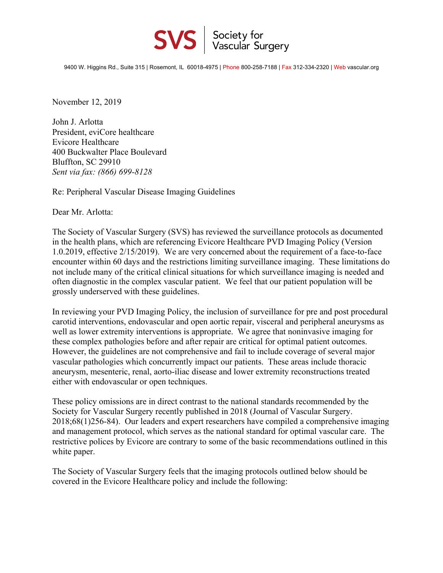

9400 W. Higgins Rd., Suite 315 | Rosemont, IL 60018-4975 | Phone 800-258-7188 | Fax 312-334-2320 | Web vascular.org

November 12, 2019

John J. Arlotta President, eviCore healthcare Evicore Healthcare 400 Buckwalter Place Boulevard Bluffton, SC 29910 *Sent via fax: (866) 699-8128*

Re: Peripheral Vascular Disease Imaging Guidelines

Dear Mr. Arlotta:

The Society of Vascular Surgery (SVS) has reviewed the surveillance protocols as documented in the health plans, which are referencing Evicore Healthcare PVD Imaging Policy (Version 1.0.2019, effective 2/15/2019). We are very concerned about the requirement of a face-to-face encounter within 60 days and the restrictions limiting surveillance imaging. These limitations do not include many of the critical clinical situations for which surveillance imaging is needed and often diagnostic in the complex vascular patient. We feel that our patient population will be grossly underserved with these guidelines.

In reviewing your PVD Imaging Policy, the inclusion of surveillance for pre and post procedural carotid interventions, endovascular and open aortic repair, visceral and peripheral aneurysms as well as lower extremity interventions is appropriate. We agree that noninvasive imaging for these complex pathologies before and after repair are critical for optimal patient outcomes. However, the guidelines are not comprehensive and fail to include coverage of several major vascular pathologies which concurrently impact our patients. These areas include thoracic aneurysm, mesenteric, renal, aorto-iliac disease and lower extremity reconstructions treated either with endovascular or open techniques.

These policy omissions are in direct contrast to the national standards recommended by the Society for Vascular Surgery recently published in 2018 (Journal of Vascular Surgery. 2018;68(1)256-84). Our leaders and expert researchers have compiled a comprehensive imaging and management protocol, which serves as the national standard for optimal vascular care. The restrictive polices by Evicore are contrary to some of the basic recommendations outlined in this white paper.

The Society of Vascular Surgery feels that the imaging protocols outlined below should be covered in the Evicore Healthcare policy and include the following: